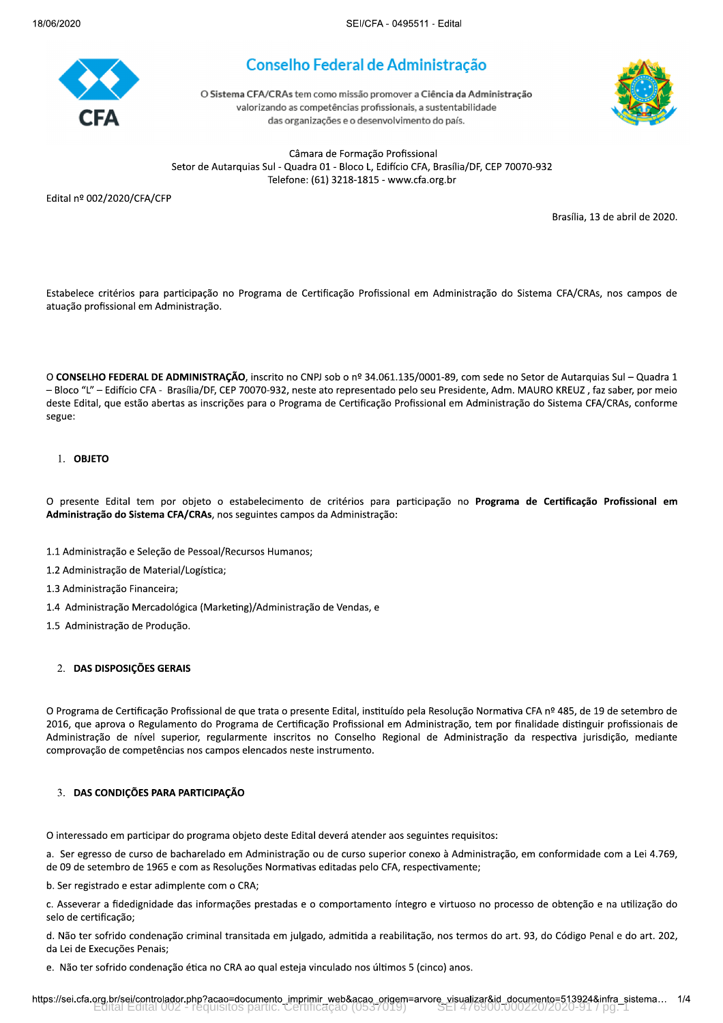

# Conselho Federal de Administração

O Sistema CFA/CRAs tem como missão promover a Ciência da Administração valorizando as competências profissionais, a sustentabilidade das organizações e o desenvolvimento do país.



Câmara de Formação Profissional Setor de Autarquias Sul - Quadra 01 - Bloco L, Edifício CFA, Brasília/DF, CEP 70070-932 Telefone: (61) 3218-1815 - www.cfa.org.br

Edital nº 002/2020/CFA/CFP

Brasília, 13 de abril de 2020.

Estabelece critérios para participação no Programa de Certificação Profissional em Administração do Sistema CFA/CRAs, nos campos de atuação profissional em Administração.

O CONSELHO FEDERAL DE ADMINISTRAÇÃO, inscrito no CNPJ sob o nº 34.061.135/0001-89, com sede no Setor de Autarquias Sul - Quadra 1 - Bloco "L" - Edifício CFA - Brasília/DF, CEP 70070-932, neste ato representado pelo seu Presidente, Adm. MAURO KREUZ, faz saber, por meio deste Edital, que estão abertas as inscrições para o Programa de Certificação Profissional em Administração do Sistema CFA/CRAs, conforme segue:

### 1. OBJETO

O presente Edital tem por objeto o estabelecimento de critérios para participação no Programa de Certificação Profissional em Administração do Sistema CFA/CRAs, nos seguintes campos da Administração:

- 1.1 Administração e Seleção de Pessoal/Recursos Humanos;
- 1.2 Administração de Material/Logística;
- 1.3 Administração Financeira;
- 1.4 Administração Mercadológica (Marketing)/Administração de Vendas, e
- 1.5 Administração de Produção.

### 2. DAS DISPOSIÇÕES GERAIS

O Programa de Certificação Profissional de que trata o presente Edital, instituído pela Resolução Normativa CFA nº 485, de 19 de setembro de 2016, que aprova o Regulamento do Programa de Certificação Profissional em Administração, tem por finalidade distinguir profissionais de Administração de nível superior, regularmente inscritos no Conselho Regional de Administração da respectiva jurisdição, mediante comprovação de competências nos campos elencados neste instrumento.

### 3. DAS CONDIÇÕES PARA PARTICIPAÇÃO

O interessado em participar do programa objeto deste Edital deverá atender aos seguintes requisitos:

a. Ser egresso de curso de bacharelado em Administração ou de curso superior conexo à Administração, em conformidade com a Lei 4.769, de 09 de setembro de 1965 e com as Resoluções Normativas editadas pelo CFA, respectivamente;

b. Ser registrado e estar adimplente com o CRA;

c. Asseverar a fidedignidade das informações prestadas e o comportamento íntegro e virtuoso no processo de obtenção e na utilização do selo de certificação;

d. Não ter sofrido condenação criminal transitada em julgado, admitida a reabilitação, nos termos do art. 93, do Código Penal e do art. 202, da Lei de Execuções Penais;

e. Não ter sofrido condenação ética no CRA ao qual esteja vinculado nos últimos 5 (cinco) anos.

https://sei.cfa.org.br/sei/controlador.php?acao=documento\_imprimir\_web&acao\_origem=arvore\_visualizar&id\_documento=513924&infra\_sistema... 1/4 requisitos partic.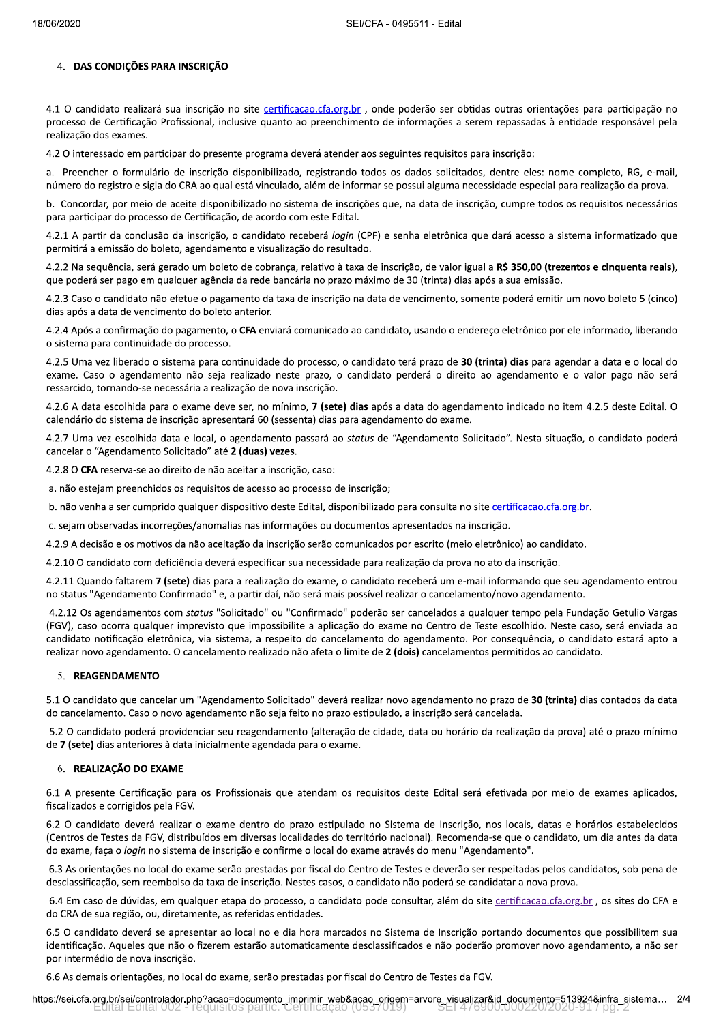### 4. DAS CONDIÇÕES PARA INSCRIÇÃO

4.1 O candidato realizará sua inscrição no site certificacao.cfa.org.br, onde poderão ser obtidas outras orientações para participação no processo de Certificação Profissional, inclusive quanto ao preenchimento de informações a serem repassadas à entidade responsável pela realização dos exames.

4.2 O interessado em participar do presente programa deverá atender aos seguintes requisitos para inscrição:

a. Preencher o formulário de inscrição disponibilizado, registrando todos os dados solicitados, dentre eles: nome completo, RG, e-mail, número do registro e sigla do CRA ao qual está vinculado, além de informar se possui alguma necessidade especial para realização da prova.

b. Concordar, por meio de aceite disponibilizado no sistema de inscrições que, na data de inscrição, cumpre todos os requisitos necessários para participar do processo de Certificação, de acordo com este Edital.

4.2.1 A partir da conclusão da inscrição, o candidato receberá login (CPF) e senha eletrônica que dará acesso a sistema informatizado que permitirá a emissão do boleto, agendamento e visualização do resultado.

4.2.2 Na sequência, será gerado um boleto de cobrança, relativo à taxa de inscrição, de valor igual a R\$ 350,00 (trezentos e cinquenta reais), que poderá ser pago em qualquer agência da rede bancária no prazo máximo de 30 (trinta) dias após a sua emissão.

4.2.3 Caso o candidato não efetue o pagamento da taxa de inscrição na data de vencimento, somente poderá emitir um novo boleto 5 (cinco) dias após a data de vencimento do boleto anterior.

4.2.4 Após a confirmação do pagamento, o CFA enviará comunicado ao candidato, usando o endereço eletrônico por ele informado, liberando o sistema para continuidade do processo.

4.2.5 Uma vez liberado o sistema para continuidade do processo, o candidato terá prazo de 30 (trinta) dias para agendar a data e o local do exame. Caso o agendamento não seja realizado neste prazo, o candidato perderá o direito ao agendamento e o valor pago não será ressarcido, tornando-se necessária a realização de nova inscrição.

4.2.6 A data escolhida para o exame deve ser, no mínimo, 7 (sete) dias após a data do agendamento indicado no item 4.2.5 deste Edital. O calendário do sistema de inscrição apresentará 60 (sessenta) dias para agendamento do exame.

4.2.7 Uma vez escolhida data e local, o agendamento passará ao status de "Agendamento Solicitado". Nesta situação, o candidato poderá cancelar o "Agendamento Solicitado" até 2 (duas) vezes.

4.2.8 O CFA reserva-se ao direito de não aceitar a inscrição, caso:

- a. não estejam preenchidos os requisitos de acesso ao processo de inscrição;
- b. não venha a ser cumprido qualquer dispositivo deste Edital, disponibilizado para consulta no site certificacao.cfa.org.br.
- c. sejam observadas incorreções/anomalias nas informações ou documentos apresentados na inscrição.

4.2.9 A decisão e os motivos da não aceitação da inscrição serão comunicados por escrito (meio eletrônico) ao candidato.

4.2.10 O candidato com deficiência deverá especificar sua necessidade para realização da prova no ato da inscrição.

4.2.11 Quando faltarem 7 (sete) dias para a realização do exame, o candidato receberá um e-mail informando que seu agendamento entrou no status "Agendamento Confirmado" e, a partir daí, não será mais possível realizar o cancelamento/novo agendamento.

4.2.12 Os agendamentos com status "Solicitado" ou "Confirmado" poderão ser cancelados a qualquer tempo pela Fundação Getulio Vargas (FGV), caso ocorra qualquer imprevisto que impossibilite a aplicação do exame no Centro de Teste escolhido. Neste caso, será enviada ao candidato notificação eletrônica, via sistema, a respeito do cancelamento do agendamento. Por consequência, o candidato estará apto a realizar novo agendamento. O cancelamento realizado não afeta o limite de 2 (dois) cancelamentos permitidos ao candidato.

### 5. REAGENDAMENTO

5.1 O candidato que cancelar um "Agendamento Solicitado" deverá realizar novo agendamento no prazo de 30 (trinta) dias contados da data do cancelamento. Caso o novo agendamento não seja feito no prazo estipulado, a inscrição será cancelada.

5.2 O candidato poderá providenciar seu reagendamento (alteração de cidade, data ou horário da realização da prova) até o prazo mínimo de 7 (sete) dias anteriores à data inicialmente agendada para o exame.

### 6. REALIZAÇÃO DO EXAME

6.1 A presente Certificação para os Profissionais que atendam os requisitos deste Edital será efetivada por meio de exames aplicados, fiscalizados e corrigidos pela FGV.

6.2 O candidato deverá realizar o exame dentro do prazo estipulado no Sistema de Inscrição, nos locais, datas e horários estabelecidos (Centros de Testes da FGV, distribuídos em diversas localidades do território nacional). Recomenda-se que o candidato, um dia antes da data do exame, faça o login no sistema de inscrição e confirme o local do exame através do menu "Agendamento".

6.3 As orientações no local do exame serão prestadas por fiscal do Centro de Testes e deverão ser respeitadas pelos candidatos, sob pena de desclassificação, sem reembolso da taxa de inscrição. Nestes casos, o candidato não poderá se candidatar a nova prova.

6.4 Em caso de dúvidas, em qualquer etapa do processo, o candidato pode consultar, além do site certificacao.cfa.org.br, os sites do CFA e do CRA de sua região, ou, diretamente, as referidas entidades.

6.5 O candidato deverá se apresentar ao local no e dia hora marcados no Sistema de Inscrição portando documentos que possibilitem sua identificação. Aqueles que não o fizerem estarão automaticamente desclassificados e não poderão promover novo agendamento, a não ser por intermédio de nova inscrição.

6.6 As demais orientações, no local do exame, serão prestadas por fiscal do Centro de Testes da FGV.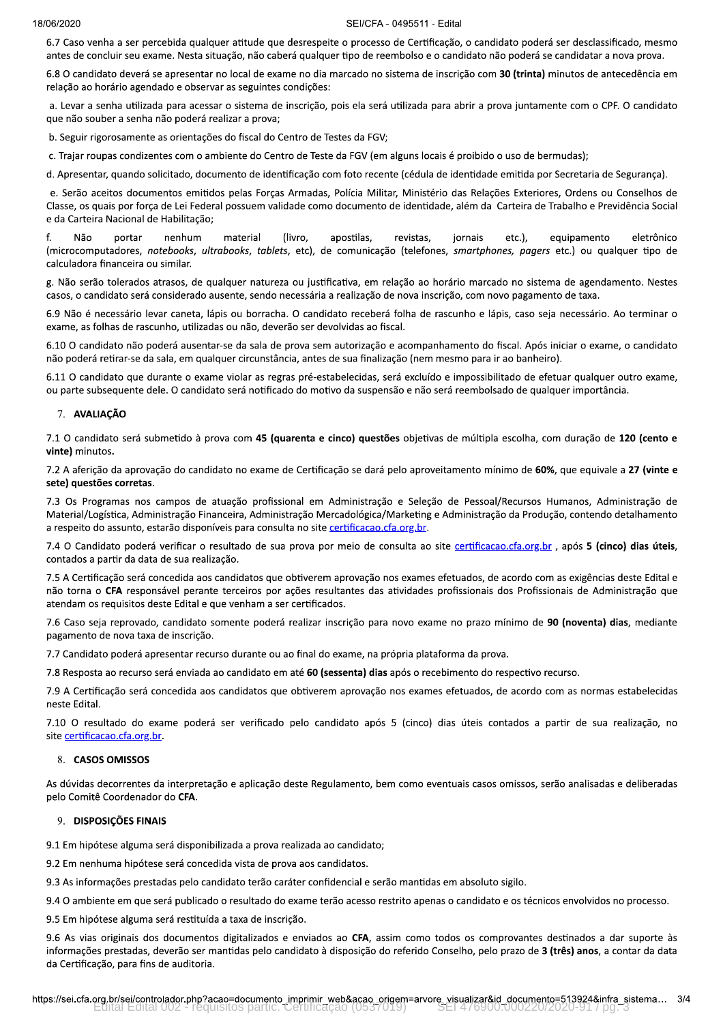6.7 Caso venha a ser percebida qualquer atitude que desrespeite o processo de Certificação, o candidato poderá ser desclassificado, mesmo antes de concluir seu exame. Nesta situação, não caberá qualquer tipo de reembolso e o candidato não poderá se candidatar a nova prova.

6.8 O candidato deverá se apresentar no local de exame no dia marcado no sistema de inscrição com 30 (trinta) minutos de antecedência em relação ao horário agendado e observar as seguintes condições:

a. Levar a senha utilizada para acessar o sistema de inscrição, pois ela será utilizada para abrir a prova juntamente com o CPF. O candidato gue não souber a senha não poderá realizar a prova;

b. Seguir rigorosamente as orientações do fiscal do Centro de Testes da FGV;

c. Trajar roupas condizentes com o ambiente do Centro de Teste da FGV (em alguns locais é proibido o uso de bermudas);

d. Apresentar, quando solicitado, documento de identificação com foto recente (cédula de identidade emitida por Secretaria de Segurança).

e. Serão aceitos documentos emitidos pelas Forças Armadas, Polícia Militar, Ministério das Relações Exteriores, Ordens ou Conselhos de Classe, os quais por força de Lei Federal possuem validade como documento de identidade, além da Carteira de Trabalho e Previdência Social e da Carteira Nacional de Habilitação;

f. Nao portar nenhum material (livro, apostilas, revistas, jornais etc.), equipamento eletronico (microcomputadores, *notebooks, ultrabooks, tablets,* etc), de comunicação (telefones, *smartphones, pagers* etc.) ou qualquer tipo de calculadora financeira ou similar

g. Não serão tolerados atrasos, de qualquer natureza ou justificativa, em relação ao horário marcado no sistema de agendamento. Nestes casos, o candidato será considerado ausente, sendo necessária a realização de nova inscrição, com novo pagamento de taxa.

6.9 Não é necessário levar caneta, lápis ou borracha. O candidato receberá folha de rascunho e lápis, caso seja necessário. Ao terminar o exame, as folhas de rascunho, utilizadas ou não, deverão ser devolvidas ao fiscal.

6.10 O candidato não poderá ausentar-se da sala de prova sem autorização e acompanhamento do fiscal. Após iniciar o exame, o candidato não poderá retirar-se da sala, em qualquer circunstância, antes de sua finalização (nem mesmo para ir ao banheiro).

6.11 O candidato que durante o exame violar as regras pré-estabelecidas, será excluído e impossibilitado de efetuar qualquer outro exame, ou parte subsequente dele. O candidato será notificado do motivo da suspensão e não será reembolsado de qualquer importância.

#### 7. AVALIAÇÃO

7.1 O candidato será submetido à prova com 45 (quarenta e cinco) questões objetivas de múltipla escolha, com duração de 120 (cento e vinte) minutos.

7.2 A aferição da aprovação do candidato no exame de Certificação se dará pelo aproveitamento mínimo de 60%, que equivale a 27 (vinte e sete) questões corretas.

7.3 Os Programas nos campos de atuação profissional em Administração e Seleção de Pessoal/Recursos Humanos, Administração de Material/Logística, Administração Financeira, Administração Mercadológica/Marketing e Administração da Produção, contendo detalhamento a respeito do assunto, estarão disponíveis para consulta no site certificacao.cfa.org.br.

7.4 O Candidato poderá verificar o resultado de sua prova por meio de consulta ao site certificacao.cfa.org.br, após 5 (cinco) dias úteis, contados a partir da data de sua realização.

7.5 A Certificação será concedida aos candidatos que obtiverem aprovação nos exames efetuados, de acordo com as exigências deste Edital e não torna o CFA responsável perante terceiros por ações resultantes das atividades profissionais dos Profissionais de Administração que atendam os requisitos deste Edital e que venham a ser certificados.

7.6 Caso seja reprovado, candidato somente poderá realizar inscrição para novo exame no prazo mínimo de 90 (noventa) dias, mediante pagamento de nova taxa de inscrição.

7.7 Candidato poderá apresentar recurso durante ou ao final do exame, na própria plataforma da prova.

7.8 Resposta ao recurso será enviada ao candidato em até 60 (sessenta) dias após o recebimento do respectivo recurso.

7.9 A Certificação será concedida aos candidatos que obtiverem aprovação nos exames efetuados, de acordo com as normas estabelecidas neste Edital.

7.10 O resultado do exame poderá ser verificado pelo candidato após 5 (cinco) dias úteis contados a partir de sua realização, no site certificacao.cfa.org.br.

#### 8. CASOS OMISSOS

As dúvidas decorrentes da interpretação e aplicação deste Regulamento, bem como eventuais casos omissos, serão analisadas e deliberadas pelo Comitê Coordenador do CFA.

### 9. DISPOSIÇÕES FINAIS

9.1 Em hipótese alguma será disponibilizada a prova realizada ao candidato;

9.2 Em nenhuma hipótese será concedida vista de prova aos candidatos.

9.3 As informações prestadas pelo candidato terão caráter confidencial e serão mantidas em absoluto sigilo.

9.4 O ambiente em que será publicado o resultado do exame terão acesso restrito apenas o candidato e os técnicos envolvidos no processo.

9.5 Em hipótese alguma será restituída a taxa de inscrição.

uma será restituída a taxa de inscrição.<br>s dos documentos digitalizados e enviados ao **CFA**, assim como todos os comprovantes destinados a dar suporte às<br>las, deverão ser mantidas pelo candidato à disposição do referido Co 9.6 As vias originais dos documentos digitalizados e enviados ao CFA, assim como todos os comprovantes destinados a dar suporte às informações prestadas, deverão ser mantidas pelo candidato à disposição do referido Conselho, pelo prazo de 3 (três) anos, a contar da data da Certificação, para fins de auditoria.

https://sei.cfa.org.br/sei/controlador.php?acao=documento\_imprimir\_web&acao\_origem=arvore\_visualizar&id\_documento=513924&infra\_sistema... 3/4<br>Edital Edital 002 - requisitos partic. Certificação (0537019) -----------------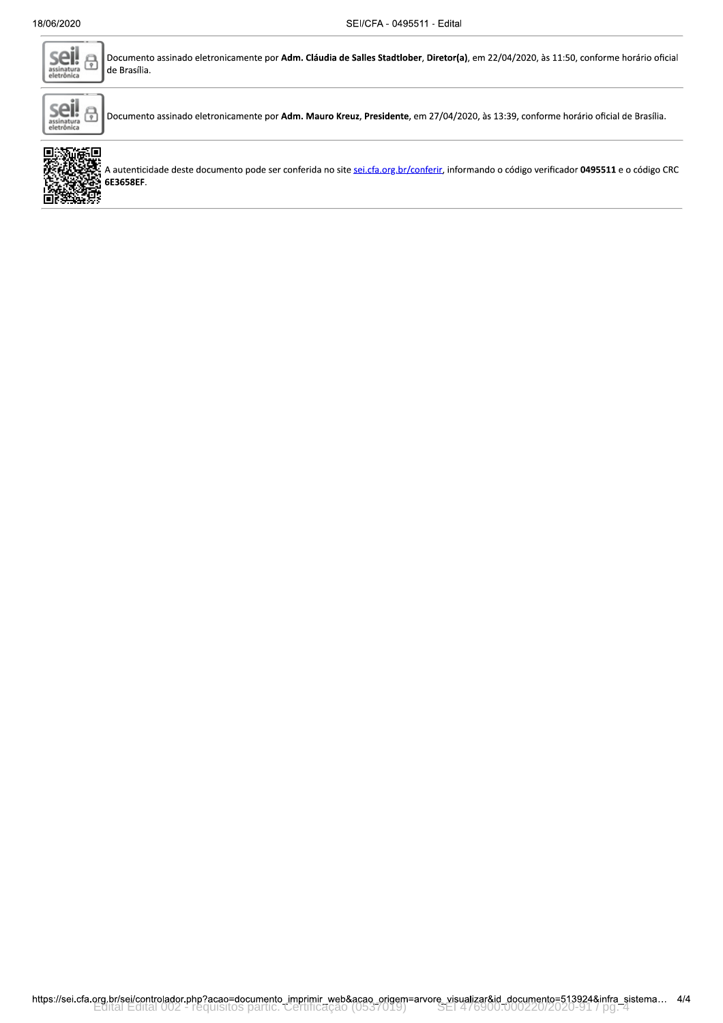

Documento assinado eletronicamente por Adm. Cláudia de Salles Stadtlober, Diretor(a), em 22/04/2020, às 11:50, conforme horário oficial de Brasília.



Documento assinado eletronicamente por Adm. Mauro Kreuz, Presidente, em 27/04/2020, às 13:39, conforme horário oficial de Brasília.



A autenticidade deste documento pode ser conferida no site sei.cfa.org.br/conferir, informando o código verificador 0495511 e o código CRC 6E3658EF.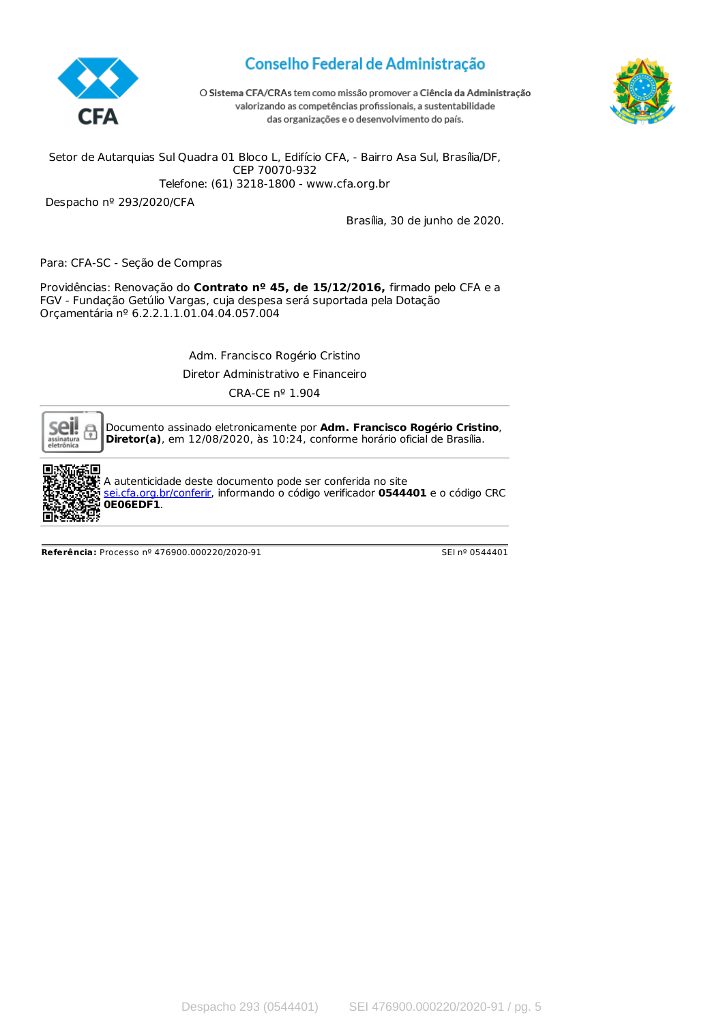

# Conselho Federal de Administração





Setor de Autarquias Sul Quadra 01 Bloco L, Edifício CFA, - Bairro Asa Sul, Brasília/DF, CEP 70070-932 Telefone: (61) 3218-1800 - www.cfa.org.br

Despacho nº 293/2020/CFA

Brasília, 30 de junho de 2020.

Para: CFA-SC - Seção de Compras

Providências: Renovação do **Contrato nº 45, de 15/12/2016,** firmado pelo CFA e a FGV - Fundação Getúlio Vargas, cuja despesa será suportada pela Dotação Orçamentária nº 6.2.2.1.1.01.04.04.057.004

Adm. Francisco Rogério Cristino

Diretor Administrativo e Financeiro

CRA-CE nº 1.904



Documento assinado eletronicamente por **Adm. Francisco Rogério Cristino**, **Diretor(a)**, em 12/08/2020, às 10:24, conforme horário oficial de Brasília.



 $\mathrel{\mathop{\llcorner}}$  A autenticidade deste documento pode ser conferida no site [sei.cfa.org.br/conferir](https://sei.cfa.org.br/conferir), informando o código verificador **0544401** e o código CRC **0E06EDF1**.

**Referência:** Processo nº 476900.000220/2020-91 SEI nº 0544401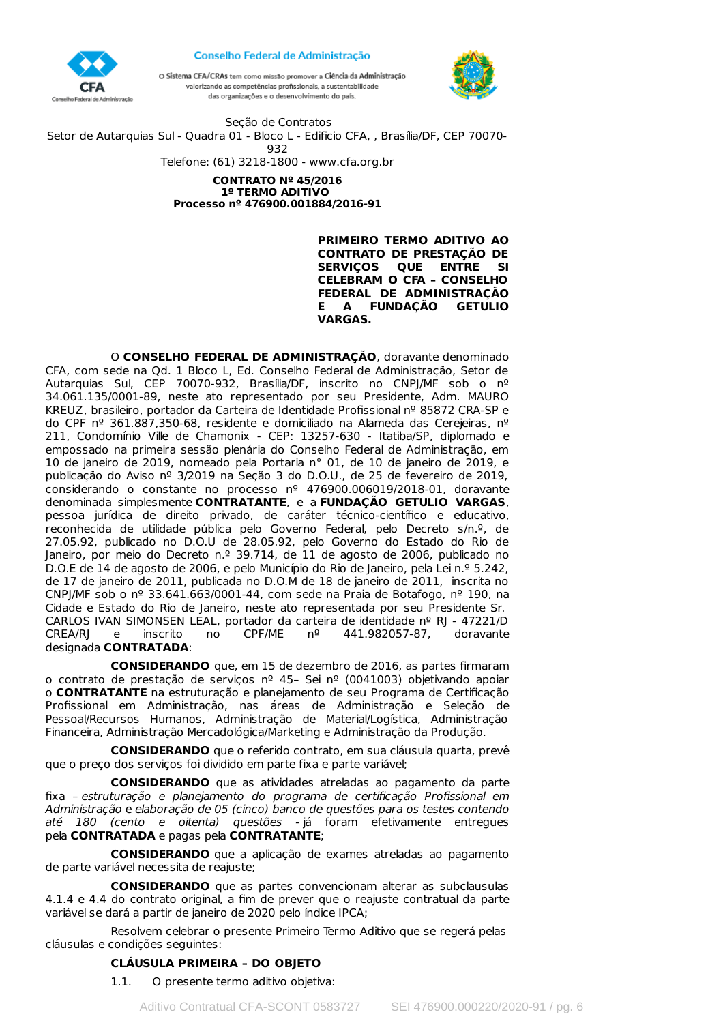



O Sistema CFA/CRAs tem como missão promover a Ciência da Administração valorizando as competências profissionais, a sustentabilidade das organizações e o desenvolvimento do país.



Seção de Contratos Setor de Autarquias Sul - Quadra 01 - Bloco L - Edificio CFA, , Brasília/DF, CEP 70070- 932 Telefone: (61) 3218-1800 - www.cfa.org.br **CONTRATO Nº 45/2016 1º TERMO ADITIVO Processo nº 476900.001884/2016-91**

> **PRIMEIRO TERMO ADITIVO AO CONTRATO DE PRESTAÇÃO DE SERVIÇOS QUE ENTRE SI CELEBRAM O CFA – CONSELHO FEDERAL DE ADMINISTRAÇÃO E A FUNDAÇÃO GETULIO VARGAS.**

O **CONSELHO FEDERAL DE ADMINISTRAÇÃO**, doravante denominado CFA, com sede na Qd. 1 Bloco L, Ed. Conselho Federal de Administração, Setor de Autarquias Sul, CEP 70070-932, Brasília/DF, inscrito no CNPJ/MF sob o nº 34.061.135/0001-89, neste ato representado por seu Presidente, Adm. MAURO KREUZ, brasileiro, portador da Carteira de Identidade Profissional nº 85872 CRA-SP e do CPF nº 361.887,350-68, residente e domiciliado na Alameda das Cerejeiras, nº 211, Condomínio Ville de Chamonix - CEP: 13257-630 - Itatiba/SP, diplomado e empossado na primeira sessão plenária do Conselho Federal de Administração, em 10 de janeiro de 2019, nomeado pela Portaria n° 01, de 10 de janeiro de 2019, e publicação do Aviso nº 3/2019 na Seção 3 do D.O.U., de 25 de fevereiro de 2019, considerando o constante no processo nº 476900.006019/2018-01, doravante denominada simplesmente **CONTRATANTE**, e a **FUNDAÇÃO GETULIO VARGAS**, pessoa jurídica de direito privado, de caráter técnico-científico e educativo, reconhecida de utilidade pública pelo Governo Federal, pelo Decreto s/n.º, de 27.05.92, publicado no D.O.U de 28.05.92, pelo Governo do Estado do Rio de Janeiro, por meio do Decreto n.º 39.714, de 11 de agosto de 2006, publicado no D.O.E de 14 de agosto de 2006, e pelo Município do Rio de Janeiro, pela Lei n.º 5.242, de 17 de janeiro de 2011, publicada no D.O.M de 18 de janeiro de 2011, inscrita no CNPJ/MF sob o nº 33.641.663/0001-44, com sede na Praia de Botafogo, nº 190, na Cidade e Estado do Rio de Janeiro, neste ato representada por seu Presidente Sr. CARLOS IVAN SIMONSEN LEAL, portador da carteira de identidade nº RJ - 47221/D CREA/RJ e inscrito no CPF/ME nº 441.982057-87, doravante designada **CONTRATADA**:

**CONSIDERANDO** que, em 15 de dezembro de 2016, as partes firmaram o contrato de prestação de serviços nº 45– Sei nº (0041003) objetivando apoiar o **CONTRATANTE** na estruturação e planejamento de seu Programa de Certificação Profissional em Administração, nas áreas de Administração e Seleção de Pessoal/Recursos Humanos, Administração de Material/Logística, Administração Financeira, Administração Mercadológica/Marketing e Administração da Produção.

**CONSIDERANDO** que o referido contrato, em sua cláusula quarta, prevê que o preço dos serviços foi dividido em parte fixa e parte variável;

**CONSIDERANDO** que as atividades atreladas ao pagamento da parte fixa – estruturação e planejamento do programa de certificação Profissional em Administração e elaboração de 05 (cinco) banco de questões para os testes contendo até 180 (cento e oitenta) questões - já foram efetivamente entregues pela **CONTRATADA** e pagas pela **CONTRATANTE**;

**CONSIDERANDO** que a aplicação de exames atreladas ao pagamento de parte variável necessita de reajuste;

**CONSIDERANDO** que as partes convencionam alterar as subclausulas 4.1.4 e 4.4 do contrato original, a fim de prever que o reajuste contratual da parte variável se dará a partir de janeiro de 2020 pelo índice IPCA;

Resolvem celebrar o presente Primeiro Termo Aditivo que se regerá pelas cláusulas e condições seguintes:

# **CLÁUSULA PRIMEIRA – DO OBJETO**

1.1. O presente termo aditivo objetiva: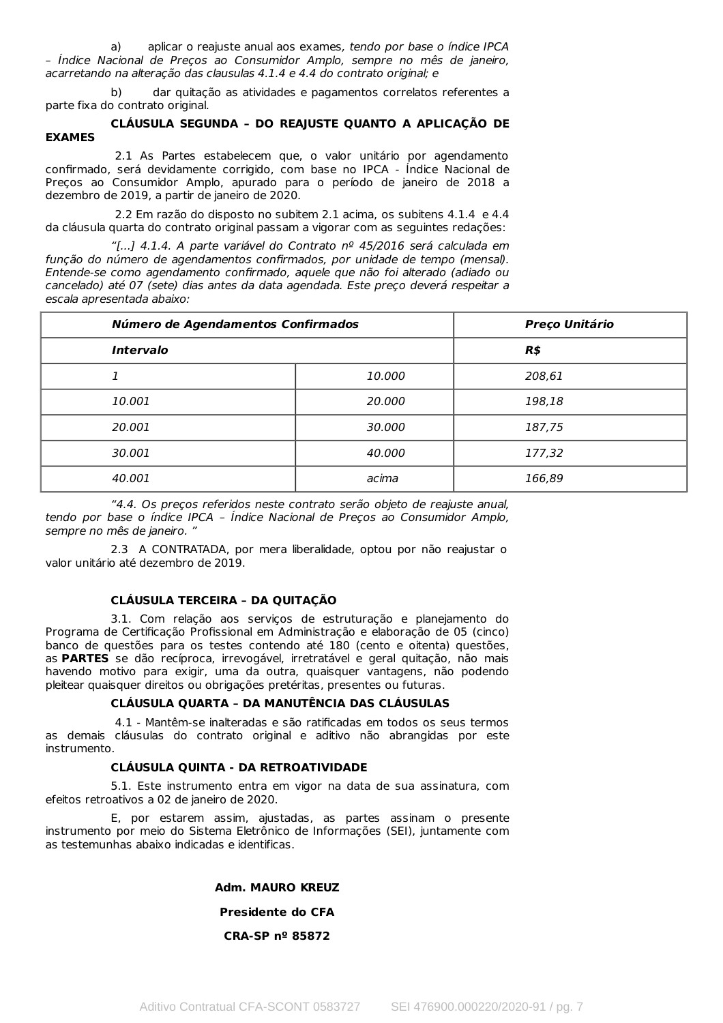a) aplicar o reajuste anual aos exames, tendo por base o índice IPCA – Índice Nacional de Preços ao Consumidor Amplo, sempre no mês de janeiro, acarretando na alteração das clausulas 4.1.4 e 4.4 do contrato original; e

b) dar quitação as atividades e pagamentos correlatos referentes a parte fixa do contrato original.

### **CLÁUSULA SEGUNDA – DO REAJUSTE QUANTO A APLICAÇÃO DE EXAMES**

2.1 As Partes estabelecem que, o valor unitário por agendamento confirmado, será devidamente corrigido, com base no IPCA - Índice Nacional de Preços ao Consumidor Amplo, apurado para o período de janeiro de 2018 a dezembro de 2019, a partir de janeiro de 2020.

2.2 Em razão do disposto no subitem 2.1 acima, os subitens 4.1.4 e 4.4 da cláusula quarta do contrato original passam a vigorar com as seguintes redações:

"[...] 4.1.4. A parte variável do Contrato nº 45/2016 será calculada em função do número de agendamentos confirmados, por unidade de tempo (mensal). Entende-se como agendamento confirmado, aquele que não foi alterado (adiado ou cancelado) até 07 (sete) dias antes da data agendada. Este preço deverá respeitar a escala apresentada abaixo:

| Número de Agendamentos Confirmados |        | <b>Preço Unitário</b> |
|------------------------------------|--------|-----------------------|
| <b>Intervalo</b>                   |        | R\$                   |
|                                    | 10.000 | 208,61                |
| 10.001                             | 20.000 | 198,18                |
| 20.001                             | 30.000 | 187,75                |
| 30.001                             | 40.000 | 177,32                |
| 40.001                             | acima  | 166,89                |

"4.4. Os preços referidos neste contrato serão objeto de reajuste anual, tendo por base o índice IPCA – Índice Nacional de Preços ao Consumidor Amplo, sempre no mês de janeiro.

2.3 A CONTRATADA, por mera liberalidade, optou por não reajustar o valor unitário até dezembro de 2019.

# **CLÁUSULA TERCEIRA – DA QUITAÇÃO**

3.1. Com relação aos serviços de estruturação e planejamento do Programa de Certificação Profissional em Administração e elaboração de 05 (cinco) banco de questões para os testes contendo até 180 (cento e oitenta) questões, as **PARTES** se dão recíproca, irrevogável, irretratável e geral quitação, não mais havendo motivo para exigir, uma da outra, quaisquer vantagens, não podendo pleitear quaisquer direitos ou obrigações pretéritas, presentes ou futuras.

# **CLÁUSULA QUARTA – DA MANUTÊNCIA DAS CLÁUSULAS**

4.1 - Mantêm-se inalteradas e são ratificadas em todos os seus termos as demais cláusulas do contrato original e aditivo não abrangidas por este instrumento.

# **CLÁUSULA QUINTA - DA RETROATIVIDADE**

5.1. Este instrumento entra em vigor na data de sua assinatura, com efeitos retroativos a 02 de janeiro de 2020.

E, por estarem assim, ajustadas, as partes assinam o presente instrumento por meio do Sistema Eletrônico de Informações (SEI), juntamente com as testemunhas abaixo indicadas e identificas.

**Adm. MAURO KREUZ**

# **Presidente do CFA**

# **CRA-SP nº 85872**